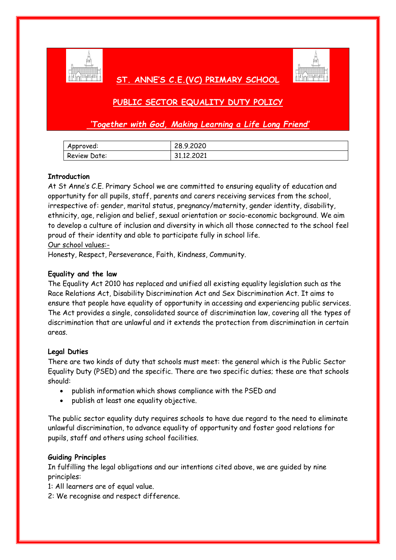

## **ST. ANNE'S C.E.(VC) PRIMARY SCHOOL**



# **PUBLIC SECTOR EQUALITY DUTY POLICY**

*'Together with God, Making Learning a Life Long Friend'*

| Approved:    | 28.9.2020  |
|--------------|------------|
| Review Date: | 31.12.2021 |

### **Introduction**

At St Anne's C.E. Primary School we are committed to ensuring equality of education and opportunity for all pupils, staff, parents and carers receiving services from the school, irrespective of: gender, marital status, pregnancy/maternity, gender identity, disability, ethnicity, age, religion and belief, sexual orientation or socio-economic background. We aim to develop a culture of inclusion and diversity in which all those connected to the school feel proud of their identity and able to participate fully in school life.

#### Our school values:-

Honesty, Respect, Perseverance, Faith, Kindness, Community.

### **Equality and the law**

The Equality Act 2010 has replaced and unified all existing equality legislation such as the Race Relations Act, Disability Discrimination Act and Sex Discrimination Act. It aims to ensure that people have equality of opportunity in accessing and experiencing public services. The Act provides a single, consolidated source of discrimination law, covering all the types of discrimination that are unlawful and it extends the protection from discrimination in certain areas.

#### **Legal Duties**

There are two kinds of duty that schools must meet: the general which is the Public Sector Equality Duty (PSED) and the specific. There are two specific duties; these are that schools should:

- publish information which shows compliance with the PSED and
- publish at least one equality objective.

The public sector equality duty requires schools to have due regard to the need to eliminate unlawful discrimination, to advance equality of opportunity and foster good relations for pupils, staff and others using school facilities.

#### **Guiding Principles**

In fulfilling the legal obligations and our intentions cited above, we are guided by nine principles:

1: All learners are of equal value.

2: We recognise and respect difference.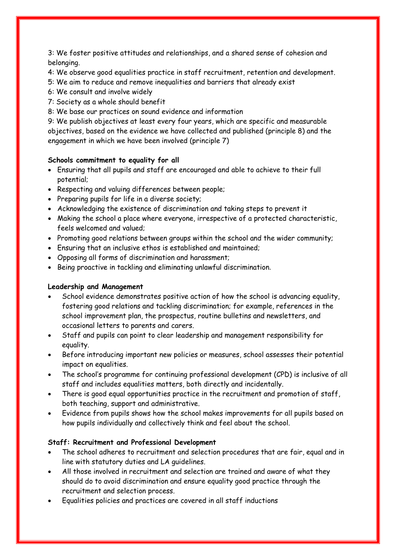3: We foster positive attitudes and relationships, and a shared sense of cohesion and belonging.

4: We observe good equalities practice in staff recruitment, retention and development.

- 5: We aim to reduce and remove inequalities and barriers that already exist
- 6: We consult and involve widely
- 7: Society as a whole should benefit
- 8: We base our practices on sound evidence and information

9: We publish objectives at least every four years, which are specific and measurable objectives, based on the evidence we have collected and published (principle 8) and the engagement in which we have been involved (principle 7)

## **Schools commitment to equality for all**

- Ensuring that all pupils and staff are encouraged and able to achieve to their full potential;
- Respecting and valuing differences between people;
- Preparing pupils for life in a diverse society;
- Acknowledging the existence of discrimination and taking steps to prevent it
- Making the school a place where everyone, irrespective of a protected characteristic, feels welcomed and valued;
- Promoting good relations between groups within the school and the wider community;
- Ensuring that an inclusive ethos is established and maintained;
- Opposing all forms of discrimination and harassment;
- Being proactive in tackling and eliminating unlawful discrimination.

## **Leadership and Management**

- School evidence demonstrates positive action of how the school is advancing equality, fostering good relations and tackling discrimination; for example, references in the school improvement plan, the prospectus, routine bulletins and newsletters, and occasional letters to parents and carers.
- Staff and pupils can point to clear leadership and management responsibility for equality.
- Before introducing important new policies or measures, school assesses their potential impact on equalities.
- The school's programme for continuing professional development (CPD) is inclusive of all staff and includes equalities matters, both directly and incidentally.
- There is good equal opportunities practice in the recruitment and promotion of staff, both teaching, support and administrative.
- Evidence from pupils shows how the school makes improvements for all pupils based on how pupils individually and collectively think and feel about the school.

## **Staff: Recruitment and Professional Development**

- The school adheres to recruitment and selection procedures that are fair, equal and in line with statutory duties and LA guidelines.
- All those involved in recruitment and selection are trained and aware of what they should do to avoid discrimination and ensure equality good practice through the recruitment and selection process.
- Equalities policies and practices are covered in all staff inductions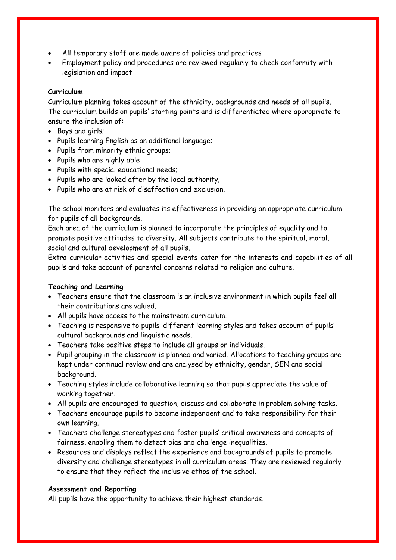- All temporary staff are made aware of policies and practices
- Employment policy and procedures are reviewed regularly to check conformity with legislation and impact

#### **Curriculum**

Curriculum planning takes account of the ethnicity, backgrounds and needs of all pupils. The curriculum builds on pupils' starting points and is differentiated where appropriate to ensure the inclusion of:

- Boys and airls:
- Pupils learning English as an additional language;
- Pupils from minority ethnic groups;
- Pupils who are highly able
- Pupils with special educational needs;
- Pupils who are looked after by the local authority;
- Pupils who are at risk of disaffection and exclusion.

The school monitors and evaluates its effectiveness in providing an appropriate curriculum for pupils of all backgrounds.

Each area of the curriculum is planned to incorporate the principles of equality and to promote positive attitudes to diversity. All subjects contribute to the spiritual, moral, social and cultural development of all pupils.

Extra-curricular activities and special events cater for the interests and capabilities of all pupils and take account of parental concerns related to religion and culture.

#### **Teaching and Learning**

- Teachers ensure that the classroom is an inclusive environment in which pupils feel all their contributions are valued.
- All pupils have access to the mainstream curriculum.
- Teaching is responsive to pupils' different learning styles and takes account of pupils' cultural backgrounds and linguistic needs.
- Teachers take positive steps to include all groups or individuals.
- Pupil grouping in the classroom is planned and varied. Allocations to teaching groups are kept under continual review and are analysed by ethnicity, gender, SEN and social background.
- Teaching styles include collaborative learning so that pupils appreciate the value of working together.
- All pupils are encouraged to question, discuss and collaborate in problem solving tasks.
- Teachers encourage pupils to become independent and to take responsibility for their own learning.
- Teachers challenge stereotypes and foster pupils' critical awareness and concepts of fairness, enabling them to detect bias and challenge inequalities.
- Resources and displays reflect the experience and backgrounds of pupils to promote diversity and challenge stereotypes in all curriculum areas. They are reviewed regularly to ensure that they reflect the inclusive ethos of the school.

#### **Assessment and Reporting**

All pupils have the opportunity to achieve their highest standards.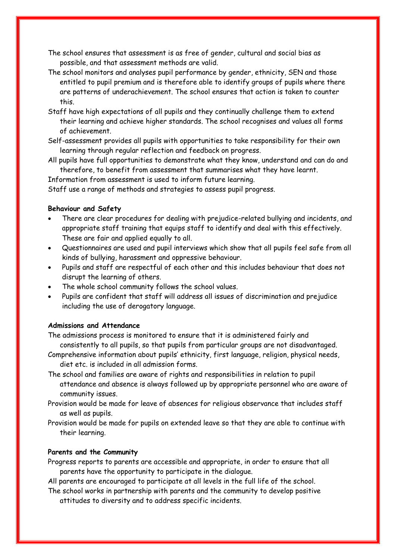- The school ensures that assessment is as free of gender, cultural and social bias as possible, and that assessment methods are valid.
- The school monitors and analyses pupil performance by gender, ethnicity, SEN and those entitled to pupil premium and is therefore able to identify groups of pupils where there are patterns of underachievement. The school ensures that action is taken to counter this.
- Staff have high expectations of all pupils and they continually challenge them to extend their learning and achieve higher standards. The school recognises and values all forms of achievement.
- Self-assessment provides all pupils with opportunities to take responsibility for their own learning through regular reflection and feedback on progress.
- All pupils have full opportunities to demonstrate what they know, understand and can do and therefore, to benefit from assessment that summarises what they have learnt.

Information from assessment is used to inform future learning.

Staff use a range of methods and strategies to assess pupil progress.

#### **Behaviour and Safety**

- There are clear procedures for dealing with prejudice-related bullying and incidents, and appropriate staff training that equips staff to identify and deal with this effectively. These are fair and applied equally to all.
- Questionnaires are used and pupil interviews which show that all pupils feel safe from all kinds of bullying, harassment and oppressive behaviour.
- Pupils and staff are respectful of each other and this includes behaviour that does not disrupt the learning of others.
- The whole school community follows the school values.
- Pupils are confident that staff will address all issues of discrimination and prejudice including the use of derogatory language.

#### **Admissions and Attendance**

The admissions process is monitored to ensure that it is administered fairly and consistently to all pupils, so that pupils from particular groups are not disadvantaged.

- Comprehensive information about pupils' ethnicity, first language, religion, physical needs, diet etc. is included in all admission forms.
- The school and families are aware of rights and responsibilities in relation to pupil attendance and absence is always followed up by appropriate personnel who are aware of community issues.
- Provision would be made for leave of absences for religious observance that includes staff as well as pupils.
- Provision would be made for pupils on extended leave so that they are able to continue with their learning.

#### **Parents and the Community**

Progress reports to parents are accessible and appropriate, in order to ensure that all parents have the opportunity to participate in the dialogue.

All parents are encouraged to participate at all levels in the full life of the school.

The school works in partnership with parents and the community to develop positive attitudes to diversity and to address specific incidents.